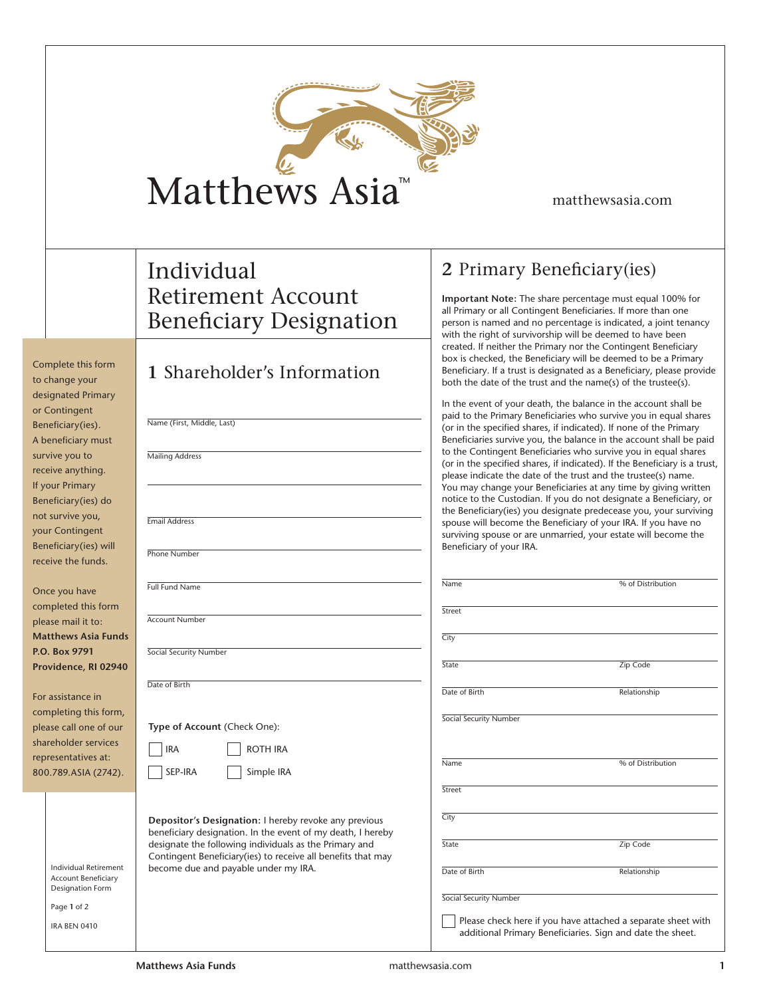| <b>TM</b><br>Matthews Asia <sup>'</sup> |  |
|-----------------------------------------|--|

matthewsasia.com

## Individual Retirement Account Beneficiary Designation

**1** Shareholder's Information

Complete this form

|                        | to change your                                      | T QUATENQUEL 9 INTOLINATION                                                                                          |  |  |
|------------------------|-----------------------------------------------------|----------------------------------------------------------------------------------------------------------------------|--|--|
|                        | designated Primary                                  |                                                                                                                      |  |  |
|                        | or Contingent                                       |                                                                                                                      |  |  |
|                        | Beneficiary(ies).                                   | Name (First, Middle, Last)                                                                                           |  |  |
|                        | A beneficiary must                                  |                                                                                                                      |  |  |
|                        | survive you to                                      | <b>Mailing Address</b>                                                                                               |  |  |
|                        | receive anything.                                   |                                                                                                                      |  |  |
|                        | If your Primary                                     |                                                                                                                      |  |  |
|                        | Beneficiary(ies) do                                 |                                                                                                                      |  |  |
|                        | not survive you,                                    | <b>Email Address</b>                                                                                                 |  |  |
|                        | your Contingent                                     |                                                                                                                      |  |  |
|                        | Beneficiary(ies) will                               | Phone Number                                                                                                         |  |  |
|                        | receive the funds.                                  |                                                                                                                      |  |  |
|                        |                                                     | <b>Full Fund Name</b>                                                                                                |  |  |
|                        | Once you have                                       |                                                                                                                      |  |  |
|                        | completed this form                                 |                                                                                                                      |  |  |
|                        | please mail it to:                                  | <b>Account Number</b>                                                                                                |  |  |
|                        | <b>Matthews Asia Funds</b>                          |                                                                                                                      |  |  |
| P.O. Box 9791          |                                                     | Social Security Number                                                                                               |  |  |
| Providence, RI 02940   |                                                     |                                                                                                                      |  |  |
|                        |                                                     | Date of Birth                                                                                                        |  |  |
| For assistance in      |                                                     |                                                                                                                      |  |  |
| completing this form,  |                                                     |                                                                                                                      |  |  |
| please call one of our |                                                     | Type of Account (Check One):                                                                                         |  |  |
| shareholder services   |                                                     | IRA<br>ROTH IRA                                                                                                      |  |  |
| representatives at:    |                                                     | SEP-IRA                                                                                                              |  |  |
| 800.789.ASIA (2742).   |                                                     | Simple IRA                                                                                                           |  |  |
|                        |                                                     |                                                                                                                      |  |  |
|                        |                                                     |                                                                                                                      |  |  |
|                        |                                                     | Depositor's Designation: I hereby revoke any previous<br>beneficiary designation. In the event of my death, I hereby |  |  |
|                        |                                                     | designate the following individuals as the Primary and                                                               |  |  |
|                        |                                                     | Contingent Beneficiary(ies) to receive all benefits that may                                                         |  |  |
|                        | Individual Retirement<br><b>Account Beneficiary</b> | become due and payable under my IRA.                                                                                 |  |  |
|                        | Designation Form                                    |                                                                                                                      |  |  |
|                        | Page 1 of 2                                         |                                                                                                                      |  |  |
|                        | <b>IRA BEN 0410</b>                                 |                                                                                                                      |  |  |
|                        |                                                     |                                                                                                                      |  |  |

## **2** Primary Beneficiary(ies)

**Important Note:** The share percentage must equal 100% for all Primary or all Contingent Beneficiaries. If more than one person is named and no percentage is indicated, a joint tenancy with the right of survivorship will be deemed to have been created. If neither the Primary nor the Contingent Beneficiary box is checked, the Beneficiary will be deemed to be a Primary Beneficiary. If a trust is designated as a Beneficiary, please provide both the date of the trust and the name(s) of the trustee(s).

In the event of your death, the balance in the account shall be paid to the Primary Beneficiaries who survive you in equal shares (or in the specified shares, if indicated). If none of the Primary Beneficiaries survive you, the balance in the account shall be paid to the Contingent Beneficiaries who survive you in equal shares (or in the specified shares, if indicated). If the Beneficiary is a trust, please indicate the date of the trust and the trustee(s) name. You may change your Beneficiaries at any time by giving written notice to the Custodian. If you do not designate a Beneficiary, or the Beneficiary(ies) you designate predecease you, your surviving spouse will become the Beneficiary of your IRA. If you have no surviving spouse or are unmarried, your estate will become the Beneficiary of your IRA.

| Name                                                                                                                       | % of Distribution |  |  |
|----------------------------------------------------------------------------------------------------------------------------|-------------------|--|--|
| Street                                                                                                                     |                   |  |  |
| City                                                                                                                       |                   |  |  |
| State                                                                                                                      | Zip Code          |  |  |
| Date of Birth                                                                                                              | Relationship      |  |  |
| Social Security Number                                                                                                     |                   |  |  |
| Name                                                                                                                       | % of Distribution |  |  |
| Street                                                                                                                     |                   |  |  |
| City                                                                                                                       |                   |  |  |
| State                                                                                                                      | Zip Code          |  |  |
| Date of Birth                                                                                                              | Relationship      |  |  |
| Social Security Number                                                                                                     |                   |  |  |
| Please check here if you have attached a separate sheet with<br>additional Primary Beneficiaries. Sign and date the sheet. |                   |  |  |